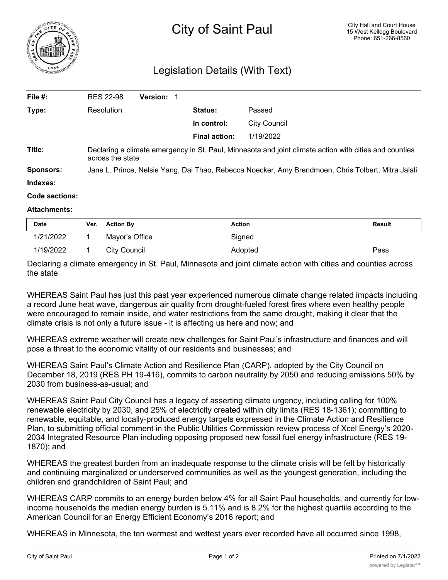

## Legislation Details (With Text)

| File #:             | <b>RES 22-98</b>                                                                                                           | Version: 1 |                      |                     |  |
|---------------------|----------------------------------------------------------------------------------------------------------------------------|------------|----------------------|---------------------|--|
| Type:               | Resolution                                                                                                                 |            | <b>Status:</b>       | Passed              |  |
|                     |                                                                                                                            |            | In control:          | <b>City Council</b> |  |
|                     |                                                                                                                            |            | <b>Final action:</b> | 1/19/2022           |  |
| Title:              | Declaring a climate emergency in St. Paul, Minnesota and joint climate action with cities and counties<br>across the state |            |                      |                     |  |
| <b>Sponsors:</b>    | Jane L. Prince, Nelsie Yang, Dai Thao, Rebecca Noecker, Amy Brendmoen, Chris Tolbert, Mitra Jalali                         |            |                      |                     |  |
| Indexes:            |                                                                                                                            |            |                      |                     |  |
| Code sections:      |                                                                                                                            |            |                      |                     |  |
| <b>Attachments:</b> |                                                                                                                            |            |                      |                     |  |

| <b>Date</b> | Ver. | <b>Action By</b> | Action  | <b>Result</b> |
|-------------|------|------------------|---------|---------------|
| 1/21/2022   |      | Mayor's Office   | Signed  |               |
| 1/19/2022   |      | City Council     | Adopted | Pass          |

Declaring a climate emergency in St. Paul, Minnesota and joint climate action with cities and counties across the state

WHEREAS Saint Paul has just this past year experienced numerous climate change related impacts including a record June heat wave, dangerous air quality from drought-fueled forest fires where even healthy people were encouraged to remain inside, and water restrictions from the same drought, making it clear that the climate crisis is not only a future issue - it is affecting us here and now; and

WHEREAS extreme weather will create new challenges for Saint Paul's infrastructure and finances and will pose a threat to the economic vitality of our residents and businesses; and

WHEREAS Saint Paul's Climate Action and Resilience Plan (CARP), adopted by the City Council on December 18, 2019 (RES PH 19-416), commits to carbon neutrality by 2050 and reducing emissions 50% by 2030 from business-as-usual; and

WHEREAS Saint Paul City Council has a legacy of asserting climate urgency, including calling for 100% renewable electricity by 2030, and 25% of electricity created within city limits (RES 18-1361); committing to renewable, equitable, and locally-produced energy targets expressed in the Climate Action and Resilience Plan, to submitting official comment in the Public Utilities Commission review process of Xcel Energy's 2020- 2034 Integrated Resource Plan including opposing proposed new fossil fuel energy infrastructure (RES 19- 1870); and

WHEREAS the greatest burden from an inadequate response to the climate crisis will be felt by historically and continuing marginalized or underserved communities as well as the youngest generation, including the children and grandchildren of Saint Paul; and

WHEREAS CARP commits to an energy burden below 4% for all Saint Paul households, and currently for lowincome households the median energy burden is 5.11% and is 8.2% for the highest quartile according to the American Council for an Energy Efficient Economy's 2016 report; and

WHEREAS in Minnesota, the ten warmest and wettest years ever recorded have all occurred since 1998,